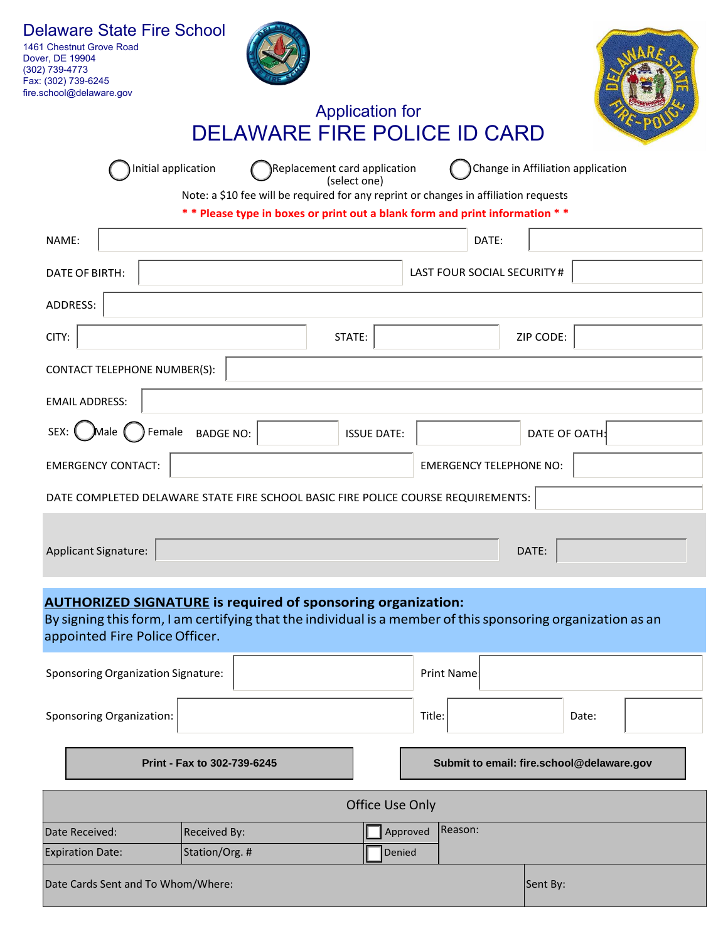| <b>Delaware State Fire School</b><br>1461 Chestnut Grove Road<br>Dover, DE 19904<br>(302) 739-4773<br>Fax: (302) 739-6245<br>fire.school@delaware.gov | <b>DELAWARE FIRE POLICE ID CARD</b>                                                                                                                                                       | <b>Application for</b>                       |                                |                                   |       |  |
|-------------------------------------------------------------------------------------------------------------------------------------------------------|-------------------------------------------------------------------------------------------------------------------------------------------------------------------------------------------|----------------------------------------------|--------------------------------|-----------------------------------|-------|--|
|                                                                                                                                                       | Initial application<br>Note: a \$10 fee will be required for any reprint or changes in affiliation requests<br>** Please type in boxes or print out a blank form and print information ** | Replacement card application<br>(select one) |                                | Change in Affiliation application |       |  |
| NAME:                                                                                                                                                 |                                                                                                                                                                                           |                                              | DATE:                          |                                   |       |  |
| DATE OF BIRTH:                                                                                                                                        | <b>LAST FOUR SOCIAL SECURITY#</b>                                                                                                                                                         |                                              |                                |                                   |       |  |
| ADDRESS:                                                                                                                                              |                                                                                                                                                                                           |                                              |                                |                                   |       |  |
| CITY:                                                                                                                                                 |                                                                                                                                                                                           | STATE:                                       |                                | ZIP CODE:                         |       |  |
|                                                                                                                                                       |                                                                                                                                                                                           |                                              |                                |                                   |       |  |
| <b>CONTACT TELEPHONE NUMBER(S):</b>                                                                                                                   |                                                                                                                                                                                           |                                              |                                |                                   |       |  |
| <b>EMAIL ADDRESS:</b>                                                                                                                                 |                                                                                                                                                                                           |                                              |                                |                                   |       |  |
| SEX:<br>Male (                                                                                                                                        | Female<br><b>BADGE NO:</b>                                                                                                                                                                | <b>ISSUE DATE:</b>                           |                                | DATE OF OATH:                     |       |  |
| <b>EMERGENCY CONTACT:</b>                                                                                                                             |                                                                                                                                                                                           |                                              | <b>EMERGENCY TELEPHONE NO:</b> |                                   |       |  |
|                                                                                                                                                       | DATE COMPLETED DELAWARE STATE FIRE SCHOOL BASIC FIRE POLICE COURSE REQUIREMENTS:                                                                                                          |                                              |                                |                                   |       |  |
| Applicant Signature:                                                                                                                                  |                                                                                                                                                                                           |                                              |                                | DATE:                             |       |  |
| appointed Fire Police Officer.                                                                                                                        | <b>AUTHORIZED SIGNATURE is required of sponsoring organization:</b><br>By signing this form, I am certifying that the individual is a member of this sponsoring organization as an        |                                              |                                |                                   |       |  |
| Sponsoring Organization Signature:                                                                                                                    |                                                                                                                                                                                           |                                              | Print Name:                    |                                   |       |  |
| <b>Sponsoring Organization:</b>                                                                                                                       |                                                                                                                                                                                           |                                              | Title:                         |                                   | Date: |  |
| Submit to email: fire.school@delaware.gov<br>Print - Fax to 302-739-6245                                                                              |                                                                                                                                                                                           |                                              |                                |                                   |       |  |
| Office Use Only                                                                                                                                       |                                                                                                                                                                                           |                                              |                                |                                   |       |  |
| Date Received:                                                                                                                                        | Received By:                                                                                                                                                                              |                                              | Reason:<br>Approved            |                                   |       |  |
| <b>Expiration Date:</b>                                                                                                                               | Station/Org. #                                                                                                                                                                            |                                              | Denied                         |                                   |       |  |
| Date Cards Sent and To Whom/Where:                                                                                                                    |                                                                                                                                                                                           |                                              |                                | Sent By:                          |       |  |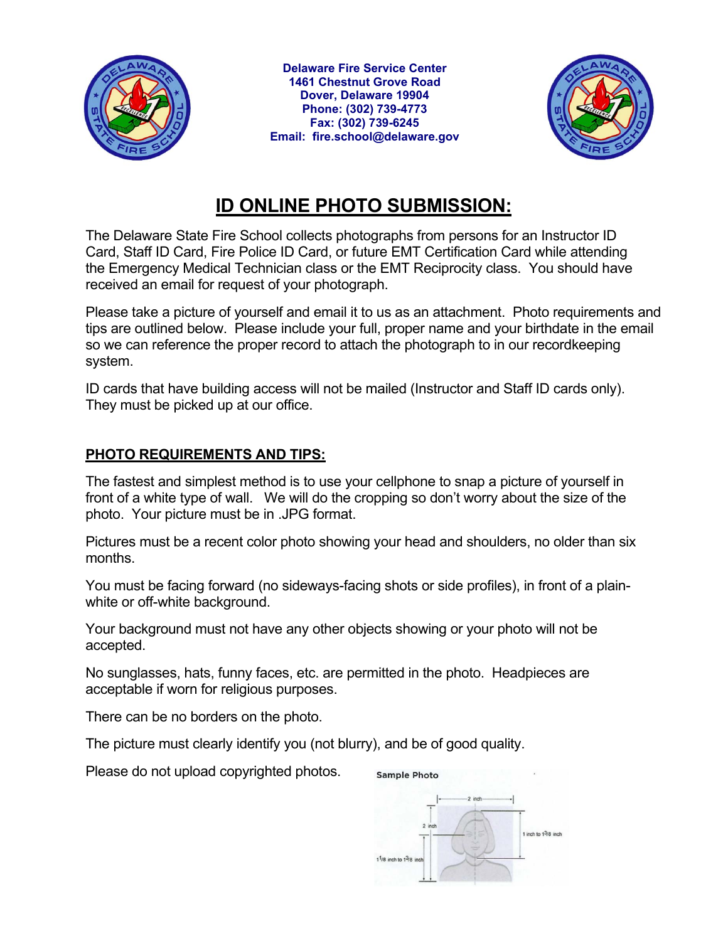

**Delaware Fire Service Center 1461 Chestnut Grove Road Dover, Delaware 19904 Phone: (302) 739-4773 Fax: (302) 739-6245 Email: fire.school@delaware.gov** 



## **ID ONLINE PHOTO SUBMISSION:**

The Delaware State Fire School collects photographs from persons for an Instructor ID Card, Staff ID Card, Fire Police ID Card, or future EMT Certification Card while attending the Emergency Medical Technician class or the EMT Reciprocity class. You should have received an email for request of your photograph.

Please take a picture of yourself and email it to us as an attachment. Photo requirements and tips are outlined below. Please include your full, proper name and your birthdate in the email so we can reference the proper record to attach the photograph to in our recordkeeping system.

ID cards that have building access will not be mailed (Instructor and Staff ID cards only). They must be picked up at our office.

## **PHOTO REQUIREMENTS AND TIPS:**

The fastest and simplest method is to use your cellphone to snap a picture of yourself in front of a white type of wall. We will do the cropping so don't worry about the size of the photo. Your picture must be in .JPG format.

Pictures must be a recent color photo showing your head and shoulders, no older than six months.

You must be facing forward (no sideways-facing shots or side profiles), in front of a plainwhite or off-white background.

Your background must not have any other objects showing or your photo will not be accepted.

No sunglasses, hats, funny faces, etc. are permitted in the photo. Headpieces are acceptable if worn for religious purposes.

There can be no borders on the photo.

The picture must clearly identify you (not blurry), and be of good quality.

Please do not upload copyrighted photos.